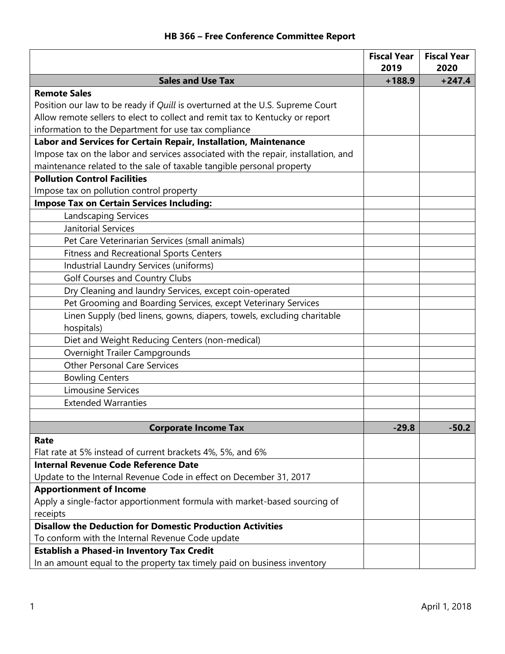## **HB 366 – Free Conference Committee Report**

|                                                                                      | <b>Fiscal Year</b><br>2019 | <b>Fiscal Year</b><br>2020 |
|--------------------------------------------------------------------------------------|----------------------------|----------------------------|
| <b>Sales and Use Tax</b>                                                             | $+188.9$                   | $+247.4$                   |
| <b>Remote Sales</b>                                                                  |                            |                            |
| Position our law to be ready if Quill is overturned at the U.S. Supreme Court        |                            |                            |
| Allow remote sellers to elect to collect and remit tax to Kentucky or report         |                            |                            |
| information to the Department for use tax compliance                                 |                            |                            |
| Labor and Services for Certain Repair, Installation, Maintenance                     |                            |                            |
| Impose tax on the labor and services associated with the repair, installation, and   |                            |                            |
| maintenance related to the sale of taxable tangible personal property                |                            |                            |
| <b>Pollution Control Facilities</b>                                                  |                            |                            |
| Impose tax on pollution control property                                             |                            |                            |
| <b>Impose Tax on Certain Services Including:</b>                                     |                            |                            |
| <b>Landscaping Services</b>                                                          |                            |                            |
| <b>Janitorial Services</b>                                                           |                            |                            |
| Pet Care Veterinarian Services (small animals)                                       |                            |                            |
| <b>Fitness and Recreational Sports Centers</b>                                       |                            |                            |
| Industrial Laundry Services (uniforms)                                               |                            |                            |
| <b>Golf Courses and Country Clubs</b>                                                |                            |                            |
| Dry Cleaning and laundry Services, except coin-operated                              |                            |                            |
| Pet Grooming and Boarding Services, except Veterinary Services                       |                            |                            |
| Linen Supply (bed linens, gowns, diapers, towels, excluding charitable<br>hospitals) |                            |                            |
| Diet and Weight Reducing Centers (non-medical)                                       |                            |                            |
| Overnight Trailer Campgrounds                                                        |                            |                            |
| <b>Other Personal Care Services</b>                                                  |                            |                            |
| <b>Bowling Centers</b>                                                               |                            |                            |
| <b>Limousine Services</b>                                                            |                            |                            |
| <b>Extended Warranties</b>                                                           |                            |                            |
|                                                                                      |                            |                            |
| <b>Corporate Income Tax</b>                                                          | $-29.8$                    | $-50.2$                    |
| Rate                                                                                 |                            |                            |
| Flat rate at 5% instead of current brackets 4%, 5%, and 6%                           |                            |                            |
| <b>Internal Revenue Code Reference Date</b>                                          |                            |                            |
| Update to the Internal Revenue Code in effect on December 31, 2017                   |                            |                            |
| <b>Apportionment of Income</b>                                                       |                            |                            |
| Apply a single-factor apportionment formula with market-based sourcing of            |                            |                            |
| receipts                                                                             |                            |                            |
| <b>Disallow the Deduction for Domestic Production Activities</b>                     |                            |                            |
| To conform with the Internal Revenue Code update                                     |                            |                            |
| <b>Establish a Phased-in Inventory Tax Credit</b>                                    |                            |                            |
| In an amount equal to the property tax timely paid on business inventory             |                            |                            |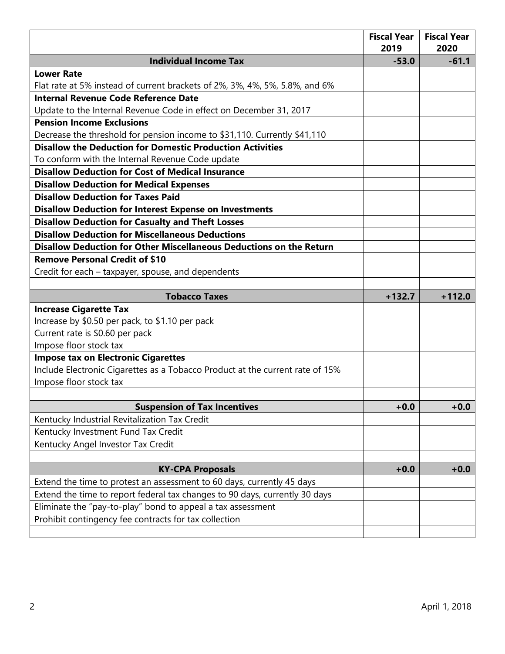|                                                                               | <b>Fiscal Year</b><br>2019 | <b>Fiscal Year</b><br>2020 |
|-------------------------------------------------------------------------------|----------------------------|----------------------------|
| <b>Individual Income Tax</b>                                                  | $-53.0$                    | $-61.1$                    |
| <b>Lower Rate</b>                                                             |                            |                            |
| Flat rate at 5% instead of current brackets of 2%, 3%, 4%, 5%, 5.8%, and 6%   |                            |                            |
| <b>Internal Revenue Code Reference Date</b>                                   |                            |                            |
| Update to the Internal Revenue Code in effect on December 31, 2017            |                            |                            |
| <b>Pension Income Exclusions</b>                                              |                            |                            |
| Decrease the threshold for pension income to \$31,110. Currently \$41,110     |                            |                            |
| <b>Disallow the Deduction for Domestic Production Activities</b>              |                            |                            |
| To conform with the Internal Revenue Code update                              |                            |                            |
| <b>Disallow Deduction for Cost of Medical Insurance</b>                       |                            |                            |
| <b>Disallow Deduction for Medical Expenses</b>                                |                            |                            |
| <b>Disallow Deduction for Taxes Paid</b>                                      |                            |                            |
| <b>Disallow Deduction for Interest Expense on Investments</b>                 |                            |                            |
| <b>Disallow Deduction for Casualty and Theft Losses</b>                       |                            |                            |
| <b>Disallow Deduction for Miscellaneous Deductions</b>                        |                            |                            |
| Disallow Deduction for Other Miscellaneous Deductions on the Return           |                            |                            |
| <b>Remove Personal Credit of \$10</b>                                         |                            |                            |
| Credit for each – taxpayer, spouse, and dependents                            |                            |                            |
|                                                                               |                            |                            |
| <b>Tobacco Taxes</b>                                                          | $+132.7$                   | $+112.0$                   |
| <b>Increase Cigarette Tax</b>                                                 |                            |                            |
| Increase by \$0.50 per pack, to \$1.10 per pack                               |                            |                            |
| Current rate is \$0.60 per pack                                               |                            |                            |
| Impose floor stock tax                                                        |                            |                            |
| <b>Impose tax on Electronic Cigarettes</b>                                    |                            |                            |
| Include Electronic Cigarettes as a Tobacco Product at the current rate of 15% |                            |                            |
| Impose floor stock tax                                                        |                            |                            |
| <b>Suspension of Tax Incentives</b>                                           | $+0.0$                     | $+0.0$                     |
| Kentucky Industrial Revitalization Tax Credit                                 |                            |                            |
| Kentucky Investment Fund Tax Credit                                           |                            |                            |
| Kentucky Angel Investor Tax Credit                                            |                            |                            |
|                                                                               |                            |                            |
| <b>KY-CPA Proposals</b>                                                       | $+0.0$                     | $+0.0$                     |
| Extend the time to protest an assessment to 60 days, currently 45 days        |                            |                            |
| Extend the time to report federal tax changes to 90 days, currently 30 days   |                            |                            |
| Eliminate the "pay-to-play" bond to appeal a tax assessment                   |                            |                            |
| Prohibit contingency fee contracts for tax collection                         |                            |                            |
|                                                                               |                            |                            |